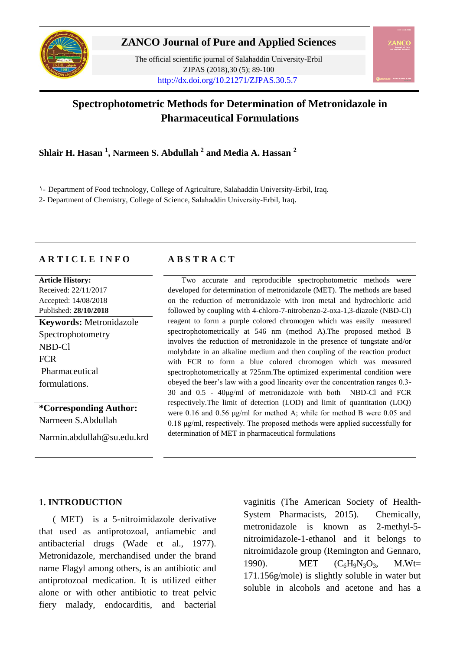

## **ZANCO Journal of Pure and Applied Sciences**

The official scientific journal of Salahaddin University-Erbil ZJPAS (2018),30 (5); 89-100 <http://dx.doi.org/10.21271/ZJPAS.30.5.7>

# **Spectrophotometric Methods for Determination of Metronidazole in Pharmaceutical Formulations**

**Shlair H. Hasan <sup>1</sup> , [Narmeen](http://www.sciencedirect.com/science/article/pii/S1878535214000306) [S. Abdullah](http://www.sciencedirect.com/science/article/pii/S1878535214000306) <sup>2</sup> and [Media A. Hassan](http://www.sciencedirect.com/science/article/pii/S1878535214000306) <sup>2</sup>**

1- Department of Food technology, College of Agriculture, Salahaddin University-Erbil, Iraq.

2- Department of Chemistry, College of Science, Salahaddin University-Erbil, Iraq*.* 

## **A R T I C L E I N F O A B S T R A C T**

#### **Article History:**

Received: 22/11/2017 Accepted: 14/08/2018 Published: **28/10/2018**

**Keywords:** Metronidazole Spectrophotometry NBD-Cl **FCR** Pharmaceutical formulations.

**\*Corresponding Author:** Narmeen S.Abdullah

Narmin.abdullah@su.edu.krd

 Two accurate and reproducible spectrophotometric methods were developed for determination of metronidazole (MET). The methods are based on the reduction of metronidazole with iron metal and hydrochloric acid followed by coupling with 4-chloro-7-nitrobenzo-2-oxa-1,3-diazole (NBD-Cl) reagent to form a purple colored chromogen which was easily measured spectrophotometrically at 546 nm (method A).The proposed method B involves the reduction of metronidazole in the presence of tungstate and/or molybdate in an alkaline medium and then coupling of the reaction product with FCR to form a blue colored chromogen which was measured spectrophotometrically at 725nm.The optimized experimental condition were obeyed the beer's law with a good linearity over the concentration ranges 0.3- 30 and 0.5 - 40μg/ml of metronidazole with both NBD-Cl and FCR respectively.The limit of detection (LOD) and limit of quantitation (LOQ) were 0.16 and 0.56 μg/ml for method A; while for method B were 0.05 and 0.18 μg/ml, respectively. The proposed methods were applied successfully for determination of MET in pharmaceutical formulations

## **1. INTRODUCTION**

 ( MET) is a 5-nitroimidazole derivative that used as antiprotozoal, antiamebic and antibacterial drugs (Wade et al., 1977). Metronidazole, merchandised under the brand name Flagyl among others, is an [antibiotic](https://en.wikipedia.org/wiki/Antibiotic) and antiprotozoal medication. It is utilized either alone or with other [antibiotic](https://en.wikipedia.org/wiki/Antibiotic) to treat pelvic fiery malady, endocarditis, and bacterial

vaginitis (The American Society of Health-System Pharmacists, 2015). Chemically, metronidazole is known as 2-methyl-5 nitroimidazole-1-ethanol and it belongs to nitroimidazole group [\(Remington](http://www.worldcat.org/search?q=au%3ARemington%2C+Joseph+P.&qt=hot_author) an[d Gennaro,](http://www.worldcat.org/search?q=au%3AGennaro%2C+Alfonso+R.&qt=hot_author) 1990). MET  $(C_6H_9N_3O_3, M.Wt=$ 171.156g/mole) is slightly soluble in water but soluble in alcohols and acetone and has a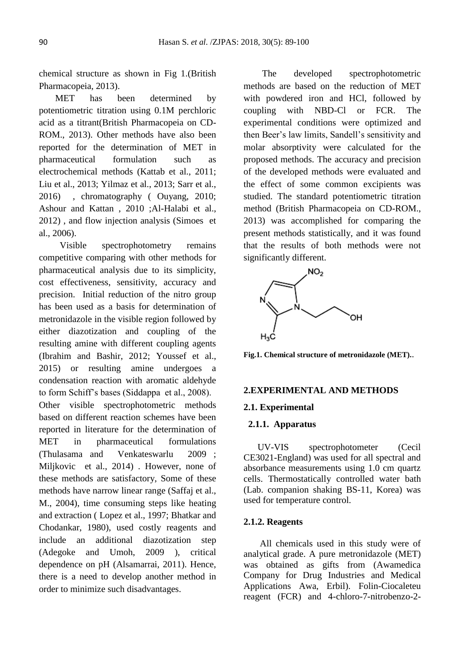chemical structure as shown in Fig 1.(British Pharmacopeia, 2013).

 MET has been determined by potentiometric titration using 0.1M perchloric acid as a titrant(British Pharmacopeia on CD-ROM., 2013). Other methods have also been reported for the determination of MET in pharmaceutical formulation such as electrochemical methods (Kattab et al., 2011; Liu et al., 2013; Yilmaz et al., 2013; Sarr et al., 2016) , chromatography ( Ouyang, 2010; Ashour and Kattan , 2010 ;Al-Halabi et al., 2012) , and flow injection analysis (Simoes et al., 2006).

 Visible spectrophotometry remains competitive comparing with other methods for pharmaceutical analysis due to its simplicity, cost effectiveness, sensitivity, accuracy and precision. Initial reduction of the nitro group has been used as a basis for determination of metronidazole in the visible region followed by either diazotization and coupling of the resulting amine with different coupling agents (Ibrahim and Bashir, 2012; Youssef et al., 2015) or resulting amine undergoes a condensation reaction with aromatic aldehyde to form Schiff's bases (Siddappa et al., 2008).

Other visible spectrophotometric methods based on different reaction schemes have been reported in literature for the determination of MET in pharmaceutical formulations (Thulasama and Venkateswarlu 2009 ; Miljkovic et al., 2014) . However, none of these methods are satisfactory, Some of these methods have narrow linear range (Saffaj et al., M., 2004), time consuming steps like heating and extraction ( Lopez et al., 1997; Bhatkar and Chodankar, 1980), used costly reagents and include an additional diazotization step (Adegoke and Umoh, 2009 ), critical dependence on pH (Alsamarrai, 2011). Hence, there is a need to develop another method in order to minimize such disadvantages.

 The developed spectrophotometric methods are based on the reduction of MET with powdered iron and HCl, followed by coupling with NBD-Cl or FCR. The experimental conditions were optimized and then Beer's law limits, Sandell's sensitivity and molar absorptivity were calculated for the proposed methods. The accuracy and precision of the developed methods were evaluated and the effect of some common excipients was studied. The standard potentiometric titration method (British Pharmacopeia on CD-ROM., 2013) was accomplished for comparing the present methods statistically, and it was found that the results of both methods were not significantly different.



**Fig.1. Chemical structure of metronidazole (MET).**.

## **2.EXPERIMENTAL AND METHODS**

#### **2.1. Experimental**

#### **2.1.1. Apparatus**

 UV-VIS spectrophotometer (Cecil CE3021-England) was used for all spectral and absorbance measurements using 1.0 cm quartz cells. Thermostatically controlled water bath (Lab. companion shaking BS-11, Korea) was used for temperature control.

## **2.1.2. Reagents**

 All chemicals used in this study were of analytical grade. A pure metronidazole (MET) was obtained as gifts from (Awamedica Company for Drug Industries and Medical Applications Awa, Erbil). Folin-Ciocaleteu reagent (FCR) and 4-chloro-7-nitrobenzo-2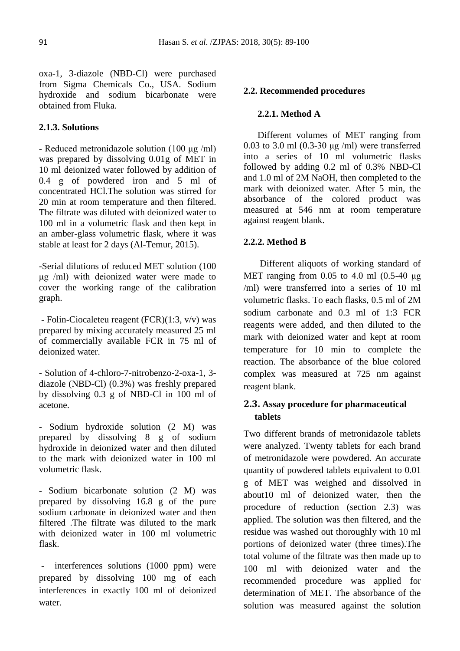oxa-1, 3-diazole (NBD-Cl) were purchased from Sigma Chemicals Co., USA. Sodium hydroxide and sodium bicarbonate were obtained from Fluka.

## **2.1.3. Solutions**

- Reduced metronidazole solution (100 μg /ml) was prepared by dissolving 0.01g of MET in 10 ml deionized water followed by addition of 0.4 g of powdered iron and 5 ml of concentrated HCl.The solution was stirred for 20 min at room temperature and then filtered. The filtrate was diluted with deionized water to 100 ml in a volumetric flask and then kept in an amber-glass volumetric flask, where it was stable at least for 2 days (Al-Temur, 2015).

-Serial dilutions of reduced MET solution (100 μg /ml) with deionized water were made to cover the working range of the calibration graph.

- Folin-Ciocaleteu reagent (FCR)(1:3, v/v) was prepared by mixing accurately measured 25 ml of commercially available FCR in 75 ml of deionized water.

- Solution of 4-chloro-7-nitrobenzo-2-oxa-1, 3 diazole (NBD-Cl) (0.3%) was freshly prepared by dissolving 0.3 g of NBD-Cl in 100 ml of acetone.

- Sodium hydroxide solution (2 M) was prepared by dissolving 8 g of sodium hydroxide in deionized water and then diluted to the mark with deionized water in 100 ml volumetric flask.

- Sodium bicarbonate solution (2 M) was prepared by dissolving 16.8 g of the pure sodium carbonate in deionized water and then filtered .The filtrate was diluted to the mark with deionized water in 100 ml volumetric flask.

- interferences solutions (1000 ppm) were prepared by dissolving 100 mg of each interferences in exactly 100 ml of deionized water.

## **2.2. Recommended procedures**

## **2.2.1. Method A**

 Different volumes of MET ranging from 0.03 to 3.0 ml (0.3-30 μg /ml) were transferred into a series of 10 ml volumetric flasks followed by adding 0.2 ml of 0.3% NBD-Cl and 1.0 ml of 2M NaOH, then completed to the mark with deionized water. After 5 min, the absorbance of the colored product was measured at 546 nm at room temperature against reagent blank.

## **2.2.2. Method B**

 Different aliquots of working standard of MET ranging from 0.05 to 4.0 ml (0.5-40 μg /ml) were transferred into a series of 10 ml volumetric flasks. To each flasks, 0.5 ml of 2M sodium carbonate and 0.3 ml of 1:3 FCR reagents were added, and then diluted to the mark with deionized water and kept at room temperature for 10 min to complete the reaction. The absorbance of the blue colored complex was measured at 725 nm against reagent blank.

## **2.3. Assay procedure for pharmaceutical tablets**

Two different brands of metronidazole tablets were analyzed. Twenty tablets for each brand of metronidazole were powdered. An accurate quantity of powdered tablets equivalent to 0.01 g of MET was weighed and dissolved in about10 ml of deionized water, then the procedure of reduction (section 2.3) was applied. The solution was then filtered, and the residue was washed out thoroughly with 10 ml portions of deionized water (three times).The total volume of the filtrate was then made up to 100 ml with deionized water and the recommended procedure was applied for determination of MET. The absorbance of the solution was measured against the solution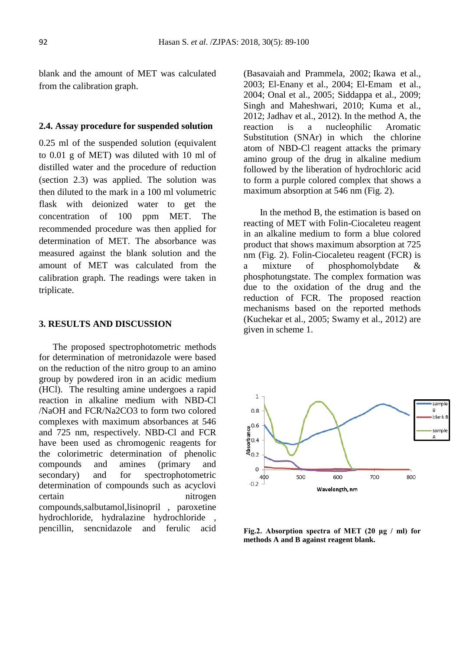blank and the amount of MET was calculated from the calibration graph.

#### **2.4. Assay procedure for suspended solution**

0.25 ml of the suspended solution (equivalent to 0.01 g of MET) was diluted with 10 ml of distilled water and the procedure of reduction (section 2.3) was applied. The solution was then diluted to the mark in a 100 ml volumetric flask with deionized water to get the concentration of 100 ppm MET. The recommended procedure was then applied for determination of MET. The absorbance was measured against the blank solution and the amount of MET was calculated from the calibration graph. The readings were taken in triplicate.

#### **3. RESULTS AND DISCUSSION**

 The proposed spectrophotometric methods for determination of metronidazole were based on the reduction of the nitro group to an amino group by powdered iron in an acidic medium (HCl). The resulting amine undergoes a rapid reaction in alkaline medium with NBD-Cl /NaOH and FCR/Na2CO3 to form two colored complexes with maximum absorbances at 546 and 725 nm, respectively. NBD-Cl and FCR have been used as chromogenic reagents for the colorimetric determination of phenolic compounds and amines (primary and secondary) and for spectrophotometric determination of compounds such as acyclovi certain nitrogen compounds,salbutamol,lisinopril , paroxetine hydrochloride, hydralazine hydrochloride pencillin, sencnidazole and ferulic acid (Basavaiah and Prammela, 2002; Ikawa et al., 2003; El-Enany et al., 2004; El-Emam et al., 2004; Onal et al., 2005; Siddappa et al., 2009; Singh and Maheshwari, 2010; Kuma et al., 2012; Jadhav et al., 2012). In the method A, the reaction is a nucleophilic Aromatic Substitution (SNAr) in which the chlorine atom of NBD-Cl reagent attacks the primary amino group of the drug in alkaline medium followed by the liberation of hydrochloric acid to form a purple colored complex that shows a maximum absorption at 546 nm (Fig. 2).

 In the method B, the estimation is based on reacting of MET with Folin-Ciocaleteu reagent in an alkaline medium to form a blue colored product that shows maximum absorption at 725 nm (Fig. 2). Folin-Ciocaleteu reagent (FCR) is a mixture of phosphomolybdate & phosphotungstate. The complex formation was due to the oxidation of the drug and the reduction of FCR. The proposed reaction mechanisms based on the reported methods (Kuchekar et al., 2005; Swamy et al., 2012) are given in scheme 1.



**Fig.2. Absorption spectra of MET (20 μg / ml) for methods A and B against reagent blank.**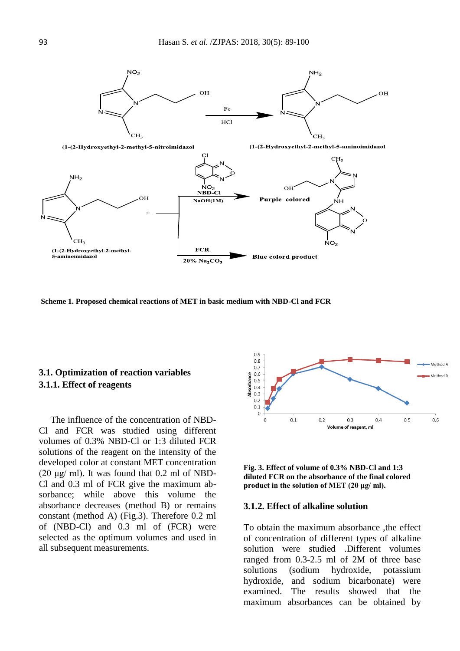

**Scheme 1. Proposed chemical reactions of MET in basic medium with NBD-Cl and FCR**

## **3.1. Optimization of reaction variables 3.1.1. Effect of reagents**

 The influence of the concentration of NBD-Cl and FCR was studied using different volumes of 0.3% NBD-Cl or 1:3 diluted FCR solutions of the reagent on the intensity of the developed color at constant MET concentration (20  $\mu$ g/ ml). It was found that 0.2 ml of NBD-Cl and 0.3 ml of FCR give the maximum absorbance; while above this volume the absorbance decreases (method B) or remains constant (method A) (Fig.3). Therefore 0.2 ml of (NBD-Cl) and 0.3 ml of (FCR) were selected as the optimum volumes and used in all subsequent measurements.



**Fig. 3. Effect of volume of 0.3% NBD-Cl and 1:3 diluted FCR on the absorbance of the final colored product in the solution of MET (20 μg/ ml).** 

## **3.1.2. Effect of alkaline solution**

To obtain the maximum absorbance ,the effect of concentration of different types of alkaline solution were studied .Different volumes ranged from 0.3-2.5 ml of 2M of three base solutions (sodium hydroxide, potassium hydroxide, and sodium bicarbonate) were examined. The results showed that the maximum absorbances can be obtained by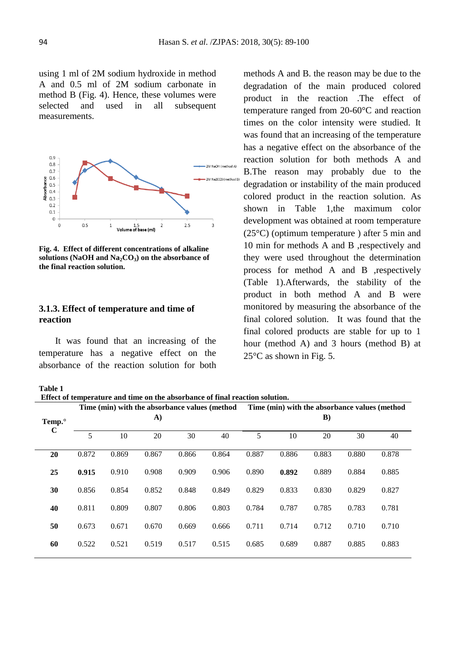using 1 ml of 2M sodium hydroxide in method A and 0.5 ml of 2M sodium carbonate in method B (Fig. 4). Hence, these volumes were selected and used in all subsequent measurements.



**Fig. 4. Effect of different concentrations of alkaline solutions (NaOH and Na2CO3) on the absorbance of the final reaction solution.**

## **3.1.3. Effect of temperature and time of reaction**

 It was found that an increasing of the temperature has a negative effect on the absorbance of the reaction solution for both methods A and B. the reason may be due to the degradation of the main produced colored product in the reaction .The effect of temperature ranged from 20-60°C and reaction times on the color intensity were studied. It was found that an increasing of the temperature has a negative effect on the absorbance of the reaction solution for both methods A and B.The reason may probably due to the degradation or instability of the main produced colored product in the reaction solution. As shown in Table 1,the maximum color development was obtained at room temperature (25°C) (optimum temperature ) after 5 min and 10 min for methods A and B ,respectively and they were used throughout the determination process for method A and B ,respectively (Table 1).Afterwards, the stability of the product in both method A and B were monitored by measuring the absorbance of the final colored solution. It was found that the final colored products are stable for up to 1 hour (method A) and 3 hours (method B) at  $25^{\circ}$ C as shown in Fig. 5.

**Table 1** 

**Effect of temperature and time on the absorbance of final reaction solution.** 

|                    |       |       | Time (min) with the absorbance values (method |       |       |       | Time (min) with the absorbance values (method |       |       |       |
|--------------------|-------|-------|-----------------------------------------------|-------|-------|-------|-----------------------------------------------|-------|-------|-------|
| Temp. <sup>o</sup> |       |       | A)                                            |       |       |       |                                               | B)    |       |       |
| $\mathbf C$        | 5     | 10    | 20                                            | 30    | 40    | 5     | 10                                            | 20    | 30    | 40    |
| 20                 | 0.872 | 0.869 | 0.867                                         | 0.866 | 0.864 | 0.887 | 0.886                                         | 0.883 | 0.880 | 0.878 |
| 25                 | 0.915 | 0.910 | 0.908                                         | 0.909 | 0.906 | 0.890 | 0.892                                         | 0.889 | 0.884 | 0.885 |
| 30                 | 0.856 | 0.854 | 0.852                                         | 0.848 | 0.849 | 0.829 | 0.833                                         | 0.830 | 0.829 | 0.827 |
| 40                 | 0.811 | 0.809 | 0.807                                         | 0.806 | 0.803 | 0.784 | 0.787                                         | 0.785 | 0.783 | 0.781 |
| 50                 | 0.673 | 0.671 | 0.670                                         | 0.669 | 0.666 | 0.711 | 0.714                                         | 0.712 | 0.710 | 0.710 |
| 60                 | 0.522 | 0.521 | 0.519                                         | 0.517 | 0.515 | 0.685 | 0.689                                         | 0.887 | 0.885 | 0.883 |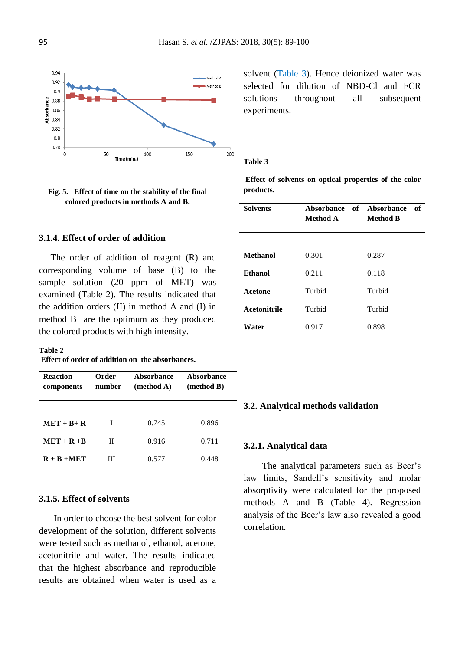

**Fig. 5. Effect of time on the stability of the final colored products in methods A and B.**

## **3.1.4. Effect of order of addition**

 The order of addition of reagent (R) and corresponding volume of base (B) to the sample solution (20 ppm of MET) was examined (Table 2). The results indicated that the addition orders (II) in method A and (I) in method B are the optimum as they produced the colored products with high intensity.

#### **Table 2**

**Effect of order of addition on the absorbances.**

| <b>Reaction</b><br>components | Order<br>number | Absorbance<br>(method A) | Absorbance<br>(method B) |  |
|-------------------------------|-----------------|--------------------------|--------------------------|--|
| $MET + B + R$                 | I               | 0.745                    | 0.896                    |  |
| $MET + R + R$                 | П               | 0.916                    | 0.711                    |  |
| $R + R + MET$                 | Ш               | 0.577                    | 0.448                    |  |

## **3.1.5. Effect of solvents**

 In order to choose the best solvent for color development of the solution, different solvents were tested such as methanol, ethanol, acetone, acetonitrile and water. The results indicated that the highest absorbance and reproducible results are obtained when water is used as a

solvent (Table 3). Hence deionized water was selected for dilution of NBD-Cl and FCR solutions throughout all subsequent experiments.

#### **Table 3**

**Effect of solvents on optical properties of the color products.**

| <b>Solvents</b> | <b>Absorbance</b><br>Method A | of Absorbance<br>of<br><b>Method B</b> |
|-----------------|-------------------------------|----------------------------------------|
|                 |                               |                                        |
| <b>Methanol</b> | 0.301                         | 0.287                                  |
| <b>Ethanol</b>  | 0.211                         | 0.118                                  |
| Acetone         | Turbid                        | Turbid                                 |
| Acetonitrile    | Turbid                        | Turbid                                 |
| Water           | 0.917                         | 0.898                                  |

## **3.2. Analytical methods validation**

#### **3.2.1. Analytical data**

 The analytical parameters such as Beer's law limits, Sandell's sensitivity and molar absorptivity were calculated for the proposed methods A and B (Table 4). Regression analysis of the Beer's law also revealed a good correlation.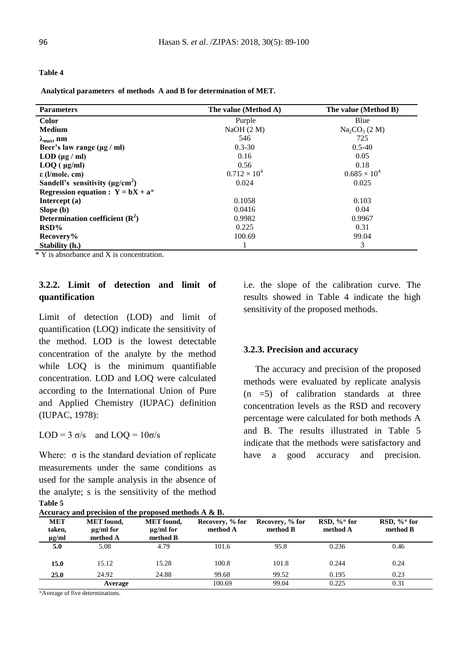#### **Table 4**

**Analytical parameters of methods A and B for determination of MET.**

| <b>Parameters</b>                    | The value (Method A)  | The value (Method B)  |
|--------------------------------------|-----------------------|-----------------------|
| <b>Color</b>                         | Purple                | Blue                  |
| <b>Medium</b>                        | NaOH(2 M)             | $Na_2CO_3$ (2 M)      |
| $\lambda_{\text{max}}$ , nm          | 546                   | 725                   |
| Beer's law range $(\mu g / ml)$      | $0.3 - 30$            | $0.5 - 40$            |
| $LOD$ ( $\mu$ g / ml)                | 0.16                  | 0.05                  |
| $LOQ$ ( $\mu$ g/ml)                  | 0.56                  | 0.18                  |
| $\epsilon$ (l/mole. cm)              | $0.712 \times 10^{4}$ | $0.685 \times 10^{4}$ |
| Sandell's sensitivity $(\mu g/cm^2)$ | 0.024                 | 0.025                 |
| Regression equation : $Y = bX + a^*$ |                       |                       |
| Intercept $(a)$                      | 0.1058                | 0.103                 |
| Slope (b)                            | 0.0416                | 0.04                  |
| Determination coefficient $(R^2)$    | 0.9982                | 0.9967                |
| $RSD\%$                              | 0.225                 | 0.31                  |
| Recovery%                            | 100.69                | 99.04                 |
| Stability (h.)                       |                       | 3                     |

\* Y is absorbance and X is concentration.

## **3.2.2. Limit of detection and limit of quantification**

Limit of detection (LOD) and limit of quantification (LOQ) indicate the sensitivity of the method. LOD is the lowest detectable concentration of the analyte by the method while LOQ is the minimum quantifiable concentration. LOD and LOQ were calculated according to the International Union of Pure and Applied Chemistry (IUPAC) definition (IUPAC, 1978):

LOD =  $3 \sigma/s$  and LOQ =  $10\sigma/s$ 

Where:  $\sigma$  is the standard deviation of replicate measurements under the same conditions as used for the sample analysis in the absence of the analyte; s is the sensitivity of the method **Table 5 Accuracy and precision of the proposed methods A & B.** i.e. the slope of the calibration curve. The results showed in Table 4 indicate the high sensitivity of the proposed methods.

#### **3.2.3. Precision and accuracy**

 The accuracy and precision of the proposed methods were evaluated by replicate analysis  $(n = 5)$  of calibration standards at three concentration levels as the RSD and recovery percentage were calculated for both methods A and B. The results illustrated in Table 5 indicate that the methods were satisfactory and have a good accuracy and precision.

|                                    |                                                 | Accuracy and directsion of the droposed methods $A \propto D$ . |                             |                             |                             |                             |
|------------------------------------|-------------------------------------------------|-----------------------------------------------------------------|-----------------------------|-----------------------------|-----------------------------|-----------------------------|
| <b>MET</b><br>taken,<br>$\mu$ g/ml | <b>MET</b> found,<br>$\mu$ g/ml for<br>method A | <b>MET</b> found,<br>$\mu$ g/ml for<br>method B                 | Recovery, % for<br>method A | Recovery, % for<br>method B | RSD, $\%^*$ for<br>method A | RSD, $\%^*$ for<br>method B |
| 5.0                                | 5.08                                            | 4.79                                                            | 101.6                       | 95.8                        | 0.236                       | 0.46                        |
| 15.0                               | 15.12                                           | 15.28                                                           | 100.8                       | 101.8                       | 0.244                       | 0.24                        |
| 25.0                               | 24.92                                           | 24.88                                                           | 99.68                       | 99.52                       | 0.195                       | 0.23                        |
|                                    | Average                                         |                                                                 | 100.69                      | 99.04                       | 0.225                       | 0.31                        |

\*Average of five determinations.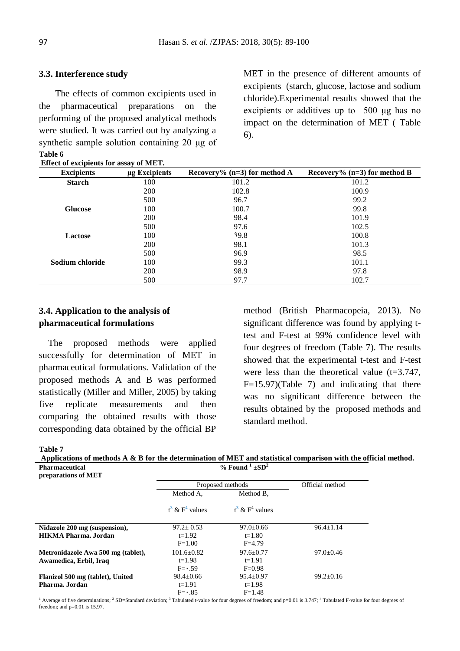## **3.3. Interference study**

 The effects of common excipients used in the pharmaceutical preparations on the performing of the proposed analytical methods were studied. It was carried out by analyzing a synthetic sample solution containing 20 μg of **Table 6 Effect of excipients for assay of MET.**

MET in the presence of different amounts of excipients (starch, glucose, lactose and sodium chloride).Experimental results showed that the excipients or additives up to 500 μg has no impact on the determination of MET ( Table 6).

| Effect of excipients for assay of MET. |               |                                |                                |
|----------------------------------------|---------------|--------------------------------|--------------------------------|
| <b>Excipients</b>                      | µg Excipients | Recovery% $(n=3)$ for method A | Recovery% $(n=3)$ for method B |
| <b>Starch</b>                          | 100           | 101.2                          | 101.2                          |
|                                        | <b>200</b>    | 102.8                          | 100.9                          |
|                                        | 500           | 96.7                           | 99.2                           |
| <b>Glucose</b>                         | 100           | 100.7                          | 99.8                           |
|                                        | <b>200</b>    | 98.4                           | 101.9                          |
|                                        | 500           | 97.6                           | 102.5                          |
| Lactose                                | 100           | 9.8                            | 100.8                          |
|                                        | <b>200</b>    | 98.1                           | 101.3                          |
|                                        | 500           | 96.9                           | 98.5                           |
| Sodium chloride                        | 100           | 99.3                           | 101.1                          |
|                                        | <b>200</b>    | 98.9                           | 97.8                           |
|                                        | 500           | 97.7                           | 102.7                          |

## **3.4. Application to the analysis of pharmaceutical formulations**

 The proposed methods were applied successfully for determination of MET in pharmaceutical formulations. Validation of the proposed methods A and B was performed statistically (Miller and Miller, 2005) by taking five replicate measurements and then comparing the obtained results with those corresponding data obtained by the official BP

method (British Pharmacopeia, 2013). No significant difference was found by applying ttest and F-test at 99% confidence level with four degrees of freedom (Table 7). The results showed that the experimental t-test and F-test were less than the theoretical value  $(t=3.747)$ ,  $F=15.97$ )(Table 7) and indicating that there was no significant difference between the results obtained by the proposed methods and standard method.

**Table 7**

| таріс 1<br>Applications of methods $A \& B$ for the determination of MET and statistical comparison with the official method. |                                    |                             |                 |  |  |  |  |  |  |  |
|-------------------------------------------------------------------------------------------------------------------------------|------------------------------------|-----------------------------|-----------------|--|--|--|--|--|--|--|
| <b>Pharmaceutical</b><br>preparations of MET                                                                                  |                                    | % Found $1 \pm SD^2$        |                 |  |  |  |  |  |  |  |
|                                                                                                                               |                                    | Proposed methods            | Official method |  |  |  |  |  |  |  |
|                                                                                                                               | Method A.                          | Method B,                   |                 |  |  |  |  |  |  |  |
|                                                                                                                               | $t^3 \& F^4$ values                | $t^3 \& F^4$ values         |                 |  |  |  |  |  |  |  |
| Nidazole 200 mg (suspension),                                                                                                 | $97.2 \pm 0.53$                    | $97.0 \pm 0.66$             | $96.4 \pm 1.14$ |  |  |  |  |  |  |  |
| <b>HIKMA Pharma. Jordan</b>                                                                                                   | $t=1.92$<br>$F = 1.00$             | $t = 1.80$<br>$F=4.79$      |                 |  |  |  |  |  |  |  |
| Metronidazole Awa 500 mg (tablet),<br>Awamedica, Erbil, Iraq                                                                  | $101.6 \pm 0.82$<br>$t = 1.98$     | $97.6 + 0.77$<br>$t = 1.91$ | $97.0 \pm 0.46$ |  |  |  |  |  |  |  |
| Flanizol 500 mg (tablet), United                                                                                              | $F = \cdot .59$<br>$98.4 \pm 0.66$ | $F=0.98$<br>$95.4 \pm 0.97$ | $99.2 \pm 0.16$ |  |  |  |  |  |  |  |
| Pharma. Jordan                                                                                                                | $t=1.91$<br>$F = \cdot .85$        | $t = 1.98$<br>$F = 1.48$    |                 |  |  |  |  |  |  |  |

<sup>1</sup> Average of five determinations;  ${}^{2}$  SD=Standard deviation;  ${}^{3}$  Tabulated t-value for four degrees of freedom; and p=0.01 is 3.747;  ${}^{4}$  Tabulated F-value for four degrees of freedom; and p=0.01 is 15.97.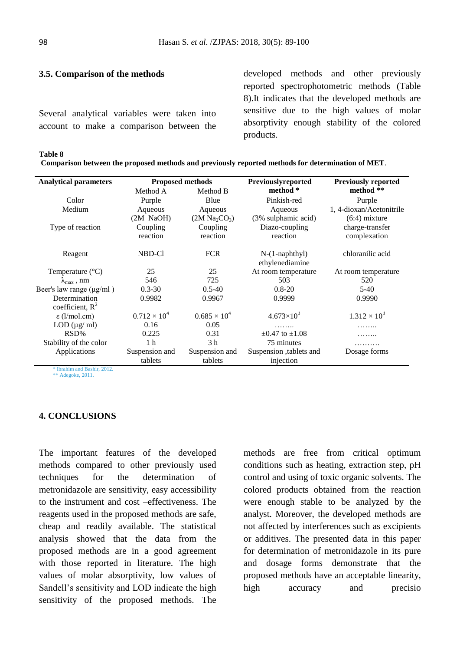products.

## **3.5. Comparison of the methods**

Several analytical variables were taken into account to make a comparison between the

**Table 8**

|  |  |  | Comparison between the proposed methods and previously reported methods for determination of MET. |  |  |  |
|--|--|--|---------------------------------------------------------------------------------------------------|--|--|--|
|  |  |  |                                                                                                   |  |  |  |

| <b>Analytical parameters</b>         |                       | <b>Proposed methods</b>               | Previouslyreported                  | <b>Previously reported</b> |
|--------------------------------------|-----------------------|---------------------------------------|-------------------------------------|----------------------------|
|                                      | Method A              | Method B                              | method *                            | method **                  |
| Color                                | Purple                | Blue                                  | Pinkish-red                         | Purple                     |
| Medium                               | Aqueous               | Aqueous                               | Aqueous                             | 1, 4-dioxan/Acetonitrile   |
|                                      | $(2M$ NaOH $)$        | (2M Na <sub>2</sub> CO <sub>3</sub> ) | (3% sulphamic acid)                 | $(6:4)$ mixture            |
| Type of reaction                     | Coupling              | Coupling                              | Diazo-coupling                      | charge-transfer            |
|                                      | reaction              | reaction                              | reaction                            | complexation               |
| Reagent                              | NBD-Cl                | <b>FCR</b>                            | $N-(1-naphthyl)$<br>ethylenediamine | chloranilic acid           |
| Temperature $(^{\circ}C)$            | 25                    | 25                                    | At room temperature                 | At room temperature        |
| $\lambda_{\text{max}}$ , nm          | 546                   | 725                                   | 503                                 | 520                        |
| Beer's law range $(\mu g/ml)$        | $0.3 - 30$            | $0.5 - 40$                            | $0.8 - 20$                          | $5-40$                     |
| Determination                        | 0.9982                | 0.9967                                | 0.9999                              | 0.9990                     |
| coefficient, $R^2$                   |                       |                                       |                                     |                            |
| $\epsilon$ (l/mol.cm)                | $0.712 \times 10^{4}$ | $0.685 \times 10^{4}$                 | $4.673\times10^{3}$                 | $1.312 \times 10^{3}$      |
| $LOD (\mu g/ml)$                     | 0.16                  | 0.05                                  | .                                   |                            |
| RSD%                                 | 0.225                 | 0.31                                  | $\pm 0.47$ to $\pm 1.08$            |                            |
| Stability of the color               | 1 <sub>h</sub>        | 3 <sub>h</sub>                        | 75 minutes                          | .                          |
| Applications                         | Suspension and        | Suspension and                        | Suspension , tablets and            | Dosage forms               |
|                                      | tablets               | tablets                               | injection                           |                            |
| $\div$ Thursday is a Trienth $0.010$ |                       |                                       |                                     |                            |

\* Ibrahim and Bashir, 2012. \*\* Adegoke, 2011.

#### **4. CONCLUSIONS**

The important features of the developed methods compared to other previously used techniques for the determination of metronidazole are sensitivity, easy accessibility to the instrument and cost –effectiveness. The reagents used in the proposed methods are safe, cheap and readily available. The statistical analysis showed that the data from the proposed methods are in a good agreement with those reported in literature. The high values of molar absorptivity, low values of Sandell's sensitivity and LOD indicate the high sensitivity of the proposed methods. The

methods are free from critical optimum conditions such as heating, extraction step, pH control and using of toxic organic solvents. The colored products obtained from the reaction were enough stable to be analyzed by the analyst. Moreover, the developed methods are not affected by interferences such as excipients or additives. The presented data in this paper for determination of metronidazole in its pure and dosage forms demonstrate that the proposed methods have an acceptable linearity, high accuracy and precisio

developed methods and other previously reported spectrophotometric methods (Table 8).It indicates that the developed methods are sensitive due to the high values of molar absorptivity enough stability of the colored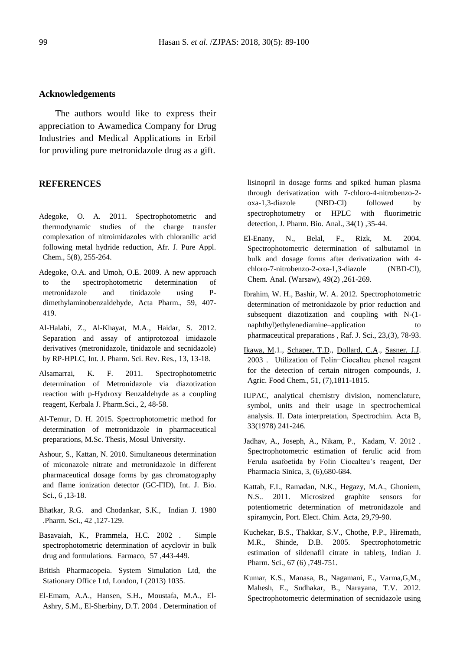#### **Acknowledgements**

 The authors would like to express their appreciation to Awamedica Company for Drug Industries and Medical Applications in Erbil for providing pure metronidazole drug as a gift.

## **REFERENCES**

- Adegoke, O. A. 2011. Spectrophotometric and thermodynamic studies of the charge transfer complexation of nitroimidazoles with chloranilic acid following metal hydride reduction, Afr. J. Pure Appl. Chem., 5(8), 255-264.
- Adegoke, O.A. and Umoh, O.E. 2009. A new approach to the spectrophotometric determination of metronidazole and tinidazole using Pdimethylaminobenzaldehyde, Acta Pharm., 59, 407- 419.
- Al-Halabi, Z., Al-Khayat, M.A., Haidar, S. 2012. Separation and assay of antiprotozoal imidazole derivatives (metronidazole, tinidazole and secnidazole) by RP-HPLC, Int. J. Pharm. Sci. Rev. Res., 13, 13-18.
- Alsamarrai, K. F. 2011. Spectrophotometric determination of Metronidazole via diazotization reaction with p-Hydroxy Benzaldehyde as a coupling reagent, Kerbala J. Pharm.Sci., 2, 48-58.
- Al-Temur, D. H. 2015. Spectrophotometric method for determination of metronidazole in pharmaceutical preparations, M.Sc. Thesis, Mosul University.
- Ashour, S., Kattan, N. 2010. Simultaneous determination of miconazole nitrate and metronidazole in different pharmaceutical dosage forms by gas chromatography and flame ionization detector (GC-FID), Int. J. Bio. Sci., 6 ,13-18.
- Bhatkar, R.G. and Chodankar, S.K., Indian J. 1980 .Pharm. Sci., 42 ,127-129.
- Basavaiah, K., Prammela, H.C. 2002 . Simple spectrophotometric determination of acyclovir in bulk drug and formulations. Farmaco, 57 ,443-449.
- British Pharmacopeia. System Simulation Ltd, the Stationary Office Ltd, London, I (2013) 1035.
- El-Emam, A.A., Hansen, S.H., Moustafa, M.A., El-Ashry, S.M., El-Sherbiny, D.T. 2004 . Determination of

lisinopril in dosage forms and spiked human plasma through derivatization with 7-chloro-4-nitrobenzo-2 oxa-1,3-diazole (NBD-Cl) followed by spectrophotometry or HPLC with fluorimetric detection, J. Pharm. Bio. Anal., 34(1) ,35-44.

- El-Enany, N., Belal, F., Rizk, M. 2004. Spectrophotometric determination of salbutamol in bulk and dosage forms after derivatization with 4 chloro-7-nitrobenzo-2-oxa-1,3-diazole (NBD-Cl), Chem. Anal. (Warsaw), 49(2) ,261-269.
- Ibrahim, W. H., Bashir, W. A. 2012. Spectrophotometric determination of metronidazole by prior reduction and subsequent diazotization and coupling with N-(1 naphthyl)ethylenediamine–application to pharmaceutical preparations , Raf. J. Sci., 23,(3), 78-93.
- [Ikawa, M.1](http://www.ncbi.nlm.nih.gov/pubmed/?term=Ikawa%20M%5BAuthor%5D&cauthor=true&cauthor_uid=12643635)., [Schaper, T.D.](http://www.ncbi.nlm.nih.gov/pubmed/?term=Schaper%20TD%5BAuthor%5D&cauthor=true&cauthor_uid=12643635), [Dollard, C.A.](http://www.ncbi.nlm.nih.gov/pubmed/?term=Dollard%20CA%5BAuthor%5D&cauthor=true&cauthor_uid=12643635), [Sasner, J.J.](http://www.ncbi.nlm.nih.gov/pubmed/?term=Sasner%20JJ%5BAuthor%5D&cauthor=true&cauthor_uid=12643635) 2003 . Utilization of Folin−Ciocalteu phenol reagent for the detection of certain nitrogen compounds, J. Agric. Food Chem., 51, (7),1811-1815.
- IUPAC, analytical chemistry division, nomenclature, symbol, units and their usage in spectrochemical analysis. II. Data interpretation, Spectrochim. Acta B, 33(1978) 241-246.
- Jadhav, A., Joseph, A., Nikam, P., Kadam, V. 2012 . [Spectrophotometric estimation of ferulic acid from](javascript:void(0))  [Ferula asafoetida by Folin Ciocalteu's reagent,](javascript:void(0)) Der Pharmacia Sinica, 3, (6),680-684.
- Kattab, F.I., Ramadan, N.K., Hegazy, M.A., Ghoniem, N.S.. 2011. Microsized graphite sensors for potentiometric determination of metronidazole and spiramycin, Port. Elect. Chim. Acta, 29,79-90.
- Kuchekar, B.S., Thakkar, S.V., Chothe, P.P., Hiremath, M.R., Shinde, D.B. 2005. [Spectrophotometric](https://scholar.google.com/citations?view_op=view_citation&hl=en&user=jAJiTn4AAAAJ&citation_for_view=jAJiTn4AAAAJ:qjMakFHDy7sC)  [estimation of sildenafil citrate in tablets,](https://scholar.google.com/citations?view_op=view_citation&hl=en&user=jAJiTn4AAAAJ&citation_for_view=jAJiTn4AAAAJ:qjMakFHDy7sC) Indian J. Pharm. Sci., 67 (6) ,749-751.
- Kumar, K.S., Manasa, B., Nagamani, E., Varma,G,M., Mahesh, E., Sudhakar, B., Narayana, T.V. 2012. Spectrophotometric determination of secnidazole using